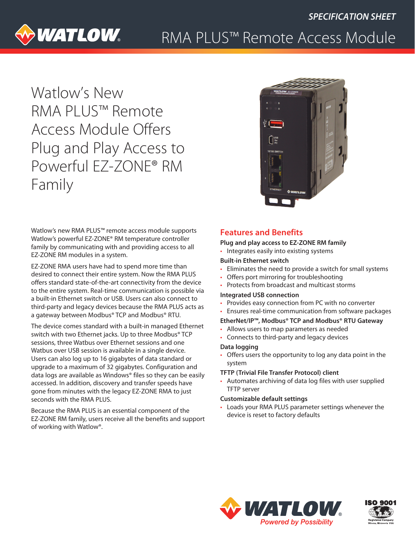

# RMA PLUS™ Remote Access Module

Watlow's New RMA PLUS™ Remote Access Module Offers Plug and Play Access to Powerful EZ-ZONE® RM Family



Watlow's new RMA PLUS™ remote access module supports Watlow's powerful EZ-ZONE® RM temperature controller family by communicating with and providing access to all EZ-ZONE RM modules in a system.

EZ-ZONE RMA users have had to spend more time than desired to connect their entire system. Now the RMA PLUS offers standard state-of-the-art connectivity from the device to the entire system. Real-time communication is possible via a built-in Ethernet switch or USB. Users can also connect to third-party and legacy devices because the RMA PLUS acts as a gateway between Modbus® TCP and Modbus® RTU.

The device comes standard with a built-in managed Ethernet switch with two Ethernet jacks. Up to three Modbus® TCP sessions, three Watbus over Ethernet sessions and one Watbus over USB session is available in a single device. Users can also log up to 16 gigabytes of data standard or upgrade to a maximum of 32 gigabytes. Configuration and data logs are available as Windows® files so they can be easily accessed. In addition, discovery and transfer speeds have gone from minutes with the legacy EZ-ZONE RMA to just seconds with the RMA PLUS.

Because the RMA PLUS is an essential component of the EZ-ZONE RM family, users receive all the benefits and support of working with Watlow®.

# **Features and Benefits**

#### **Plug and play access to EZ-ZONE RM family**

• Integrates easily into existing systems

#### **Built-in Ethernet switch**

- Eliminates the need to provide a switch for small systems
- Offers port mirroring for troubleshooting
- Protects from broadcast and multicast storms

#### **Integrated USB connection**

- Provides easy connection from PC with no converter
- Ensures real-time communication from software packages

#### **EtherNet/IP™, Modbus® TCP and Modbus® RTU Gateway**

- Allows users to map parameters as needed
- Connects to third-party and legacy devices

#### **Data logging**

• Offers users the opportunity to log any data point in the system

## **TFTP (Trivial File Transfer Protocol) client**

• Automates archiving of data log files with user supplied TFTP server

#### **Customizable default settings**

• Loads your RMA PLUS parameter settings whenever the device is reset to factory defaults